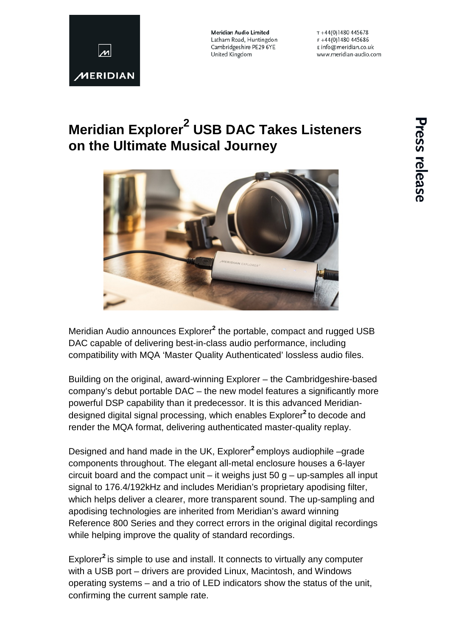

Meridian Audio Limited Latham Road, Huntingdon Cambridgeshire PE29 6YE United Kingdom

 $T + 44(0)1480445678$  $F + 44(0)1480445686$ E info@meridian.co.uk www.meridian-audio.com

# **Meridian Explorer<sup>2</sup> USB DAC Takes Listeners on the Ultimate Musical Journey**



Meridian Audio announces Explorer**<sup>2</sup>** the portable, compact and rugged USB DAC capable of delivering best-in-class audio performance, including compatibility with MQA 'Master Quality Authenticated' lossless audio files.

Building on the original, award-winning Explorer – the Cambridgeshire-based company's debut portable DAC – the new model features a significantly more powerful DSP capability than it predecessor. It is this advanced Meridiandesigned digital signal processing, which enables Explorer**<sup>2</sup>** to decode and render the MQA format, delivering authenticated master-quality replay.

Designed and hand made in the UK, Explorer**<sup>2</sup>** employs audiophile –grade components throughout. The elegant all-metal enclosure houses a 6-layer circuit board and the compact unit – it weighs just  $50$  g – up-samples all input signal to 176.4/192kHz and includes Meridian's proprietary apodising filter, which helps deliver a clearer, more transparent sound. The up-sampling and apodising technologies are inherited from Meridian's award winning Reference 800 Series and they correct errors in the original digital recordings while helping improve the quality of standard recordings.

Explorer**<sup>2</sup>** is simple to use and install. It connects to virtually any computer with a USB port – drivers are provided Linux, Macintosh, and Windows operating systems – and a trio of LED indicators show the status of the unit, confirming the current sample rate.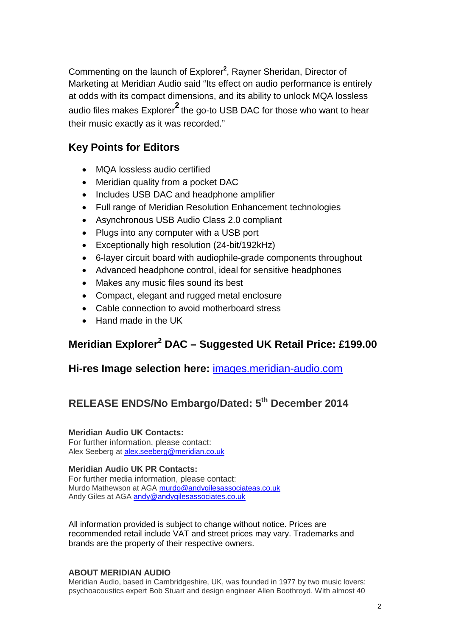Commenting on the launch of Explorer**<sup>2</sup>** , Rayner Sheridan, Director of Marketing at Meridian Audio said "Its effect on audio performance is entirely at odds with its compact dimensions, and its ability to unlock MQA lossless audio files makes Explorer**<sup>2</sup>** the go-to USB DAC for those who want to hear their music exactly as it was recorded."

### **Key Points for Editors**

- MQA lossless audio certified
- Meridian quality from a pocket DAC
- Includes USB DAC and headphone amplifier
- Full range of Meridian Resolution Enhancement technologies
- Asynchronous USB Audio Class 2.0 compliant
- Plugs into any computer with a USB port
- Exceptionally high resolution (24-bit/192kHz)
- 6-layer circuit board with audiophile-grade components throughout
- Advanced headphone control, ideal for sensitive headphones
- Makes any music files sound its best
- Compact, elegant and rugged metal enclosure
- Cable connection to avoid motherboard stress
- Hand made in the UK

### **Meridian Explorer2 DAC – Suggested UK Retail Price: £199.00**

### **Hi-res Image selection here:** [images.meridian-audio.com](http://media.meridian-audio.com/)

## **RELEASE ENDS/No Embargo/Dated: 5th December 2014**

#### **Meridian Audio UK Contacts:**

For further information, please contact: Alex Seeberg at [alex.seeberg@meridian.co.uk](mailto:alex.seeberg@meridian.co.uk) 

#### **Meridian Audio UK PR Contacts:**

For further media information, please contact: Murdo Mathewson at AGA [murdo@andygilesassociateas.co.uk](mailto:murdo@andygilesassociateas.co.uk) Andy Giles at AGA [andy@andygilesassociates.co.uk](mailto:andy@andygilesassociates.co.uk)

All information provided is subject to change without notice. Prices are recommended retail include VAT and street prices may vary. Trademarks and brands are the property of their respective owners.

#### **ABOUT MERIDIAN AUDIO**

Meridian Audio, based in Cambridgeshire, UK, was founded in 1977 by two music lovers: psychoacoustics expert Bob Stuart and design engineer Allen Boothroyd. With almost 40